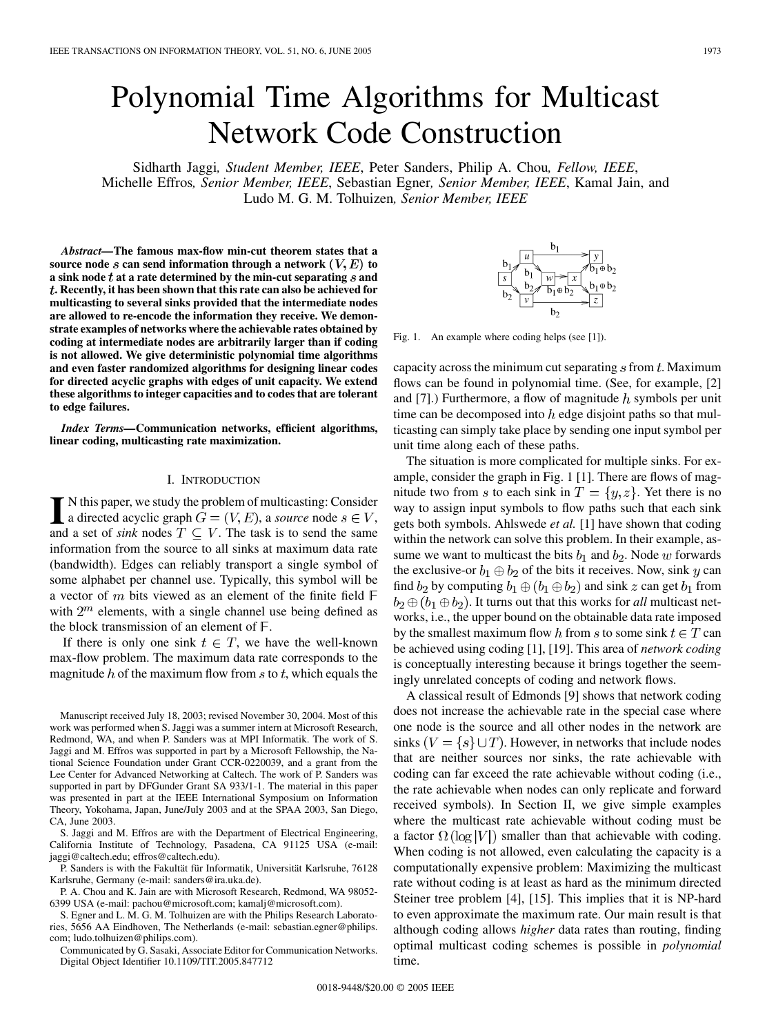# Polynomial Time Algorithms for Multicast Network Code Construction

Sidharth Jaggi*, Student Member, IEEE*, Peter Sanders, Philip A. Chou*, Fellow, IEEE*, Michelle Effros*, Senior Member, IEEE*, Sebastian Egner*, Senior Member, IEEE*, Kamal Jain, and Ludo M. G. M. Tolhuizen*, Senior Member, IEEE*

*Abstract—***The famous max-flow min-cut theorem states that a source node** *s* can send information through a network  $(V, E)$  to **a sink node at a rate determined by the min-cut separating and . Recently, it has been shown that this rate can also be achieved for multicasting to several sinks provided that the intermediate nodes are allowed to re-encode the information they receive. We demonstrate examples of networks where the achievable rates obtained by coding at intermediate nodes are arbitrarily larger than if coding is not allowed. We give deterministic polynomial time algorithms and even faster randomized algorithms for designing linear codes for directed acyclic graphs with edges of unit capacity. We extend these algorithms to integer capacities and to codes that are tolerant to edge failures.**

*Index Terms—***Communication networks, efficient algorithms, linear coding, multicasting rate maximization.**

## I. INTRODUCTION

 $\blacksquare$  N this paper, we study the problem of multicasting: Consider<br>a directed acyclic graph  $G = (V, E)$ , a *source* node  $s \in V$ ,<br>and a set of sink podes  $T \subseteq V$ . The tesk is to send the same and a set of *sink* nodes  $T \subseteq V$ . The task is to send the same information from the source to all sinks at maximum data rate (bandwidth). Edges can reliably transport a single symbol of some alphabet per channel use. Typically, this symbol will be a vector of  $m$  bits viewed as an element of the finite field  $\mathbb F$ with  $2^m$  elements, with a single channel use being defined as the block transmission of an element of  $\mathbb{F}$ .

If there is only one sink  $t \in T$ , we have the well-known max-flow problem. The maximum data rate corresponds to the magnitude  $h$  of the maximum flow from  $s$  to  $t$ , which equals the

Manuscript received July 18, 2003; revised November 30, 2004. Most of this work was performed when S. Jaggi was a summer intern at Microsoft Research, Redmond, WA, and when P. Sanders was at MPI Informatik. The work of S. Jaggi and M. Effros was supported in part by a Microsoft Fellowship, the National Science Foundation under Grant CCR-0220039, and a grant from the Lee Center for Advanced Networking at Caltech. The work of P. Sanders was supported in part by DFGunder Grant SA 933/1-1. The material in this paper was presented in part at the IEEE International Symposium on Information Theory, Yokohama, Japan, June/July 2003 and at the SPAA 2003, San Diego, CA, June 2003.

S. Jaggi and M. Effros are with the Department of Electrical Engineering, California Institute of Technology, Pasadena, CA 91125 USA (e-mail: jaggi@caltech.edu; effros@caltech.edu).

P. Sanders is with the Fakultät für Informatik, Universität Karlsruhe, 76128 Karlsruhe, Germany (e-mail: sanders@ira.uka.de).

P. A. Chou and K. Jain are with Microsoft Research, Redmond, WA 98052- 6399 USA (e-mail: pachou@microsoft.com; kamalj@microsoft.com).

S. Egner and L. M. G. M. Tolhuizen are with the Philips Research Laboratories, 5656 AA Eindhoven, The Netherlands (e-mail: sebastian.egner@philips. com; ludo.tolhuizen@philips.com).

Communicated by G. Sasaki, Associate Editor for Communication Networks. Digital Object Identifier 10.1109/TIT.2005.847712



Fig. 1. An example where coding helps (see [[1\]](#page-8-0)).

capacity across the minimum cut separating  $s$  from  $t$ . Maximum flows can be found in polynomial time. (See, for example, [[2\]](#page-8-0) and  $[7]$  $[7]$ .) Furthermore, a flow of magnitude h symbols per unit time can be decomposed into  $h$  edge disjoint paths so that multicasting can simply take place by sending one input symbol per unit time along each of these paths.

The situation is more complicated for multiple sinks. For example, consider the graph in Fig. 1 [\[1](#page-8-0)]. There are flows of magnitude two from s to each sink in  $T = \{y, z\}$ . Yet there is no way to assign input symbols to flow paths such that each sink gets both symbols. Ahlswede *et al.* [\[1\]](#page-8-0) have shown that coding within the network can solve this problem. In their example, assume we want to multicast the bits  $b_1$  and  $b_2$ . Node w forwards the exclusive-or  $b_1 \oplus b_2$  of the bits it receives. Now, sink y can find  $b_2$  by computing  $b_1 \oplus (b_1 \oplus b_2)$  and sink z can get  $b_1$  from  $b_2 \oplus (b_1 \oplus b_2)$ . It turns out that this works for *all* multicast networks, i.e., the upper bound on the obtainable data rate imposed by the smallest maximum flow h from s to some sink  $t \in T$  can be achieved using coding [[1\]](#page-8-0), [\[19](#page-9-0)]. This area of *network coding* is conceptually interesting because it brings together the seemingly unrelated concepts of coding and network flows.

A classical result of Edmonds [\[9](#page-8-0)] shows that network coding does not increase the achievable rate in the special case where one node is the source and all other nodes in the network are sinks  $(V = \{s\} \cup T)$ . However, in networks that include nodes that are neither sources nor sinks, the rate achievable with coding can far exceed the rate achievable without coding (i.e., the rate achievable when nodes can only replicate and forward received symbols). In Section II, we give simple examples where the multicast rate achievable without coding must be a factor  $\Omega(\log|V|)$  smaller than that achievable with coding. When coding is not allowed, even calculating the capacity is a computationally expensive problem: Maximizing the multicast rate without coding is at least as hard as the minimum directed Steiner tree problem [[4\]](#page-8-0), [\[15](#page-8-0)]. This implies that it is NP-hard to even approximate the maximum rate. Our main result is that although coding allows *higher* data rates than routing, finding optimal multicast coding schemes is possible in *polynomial* time.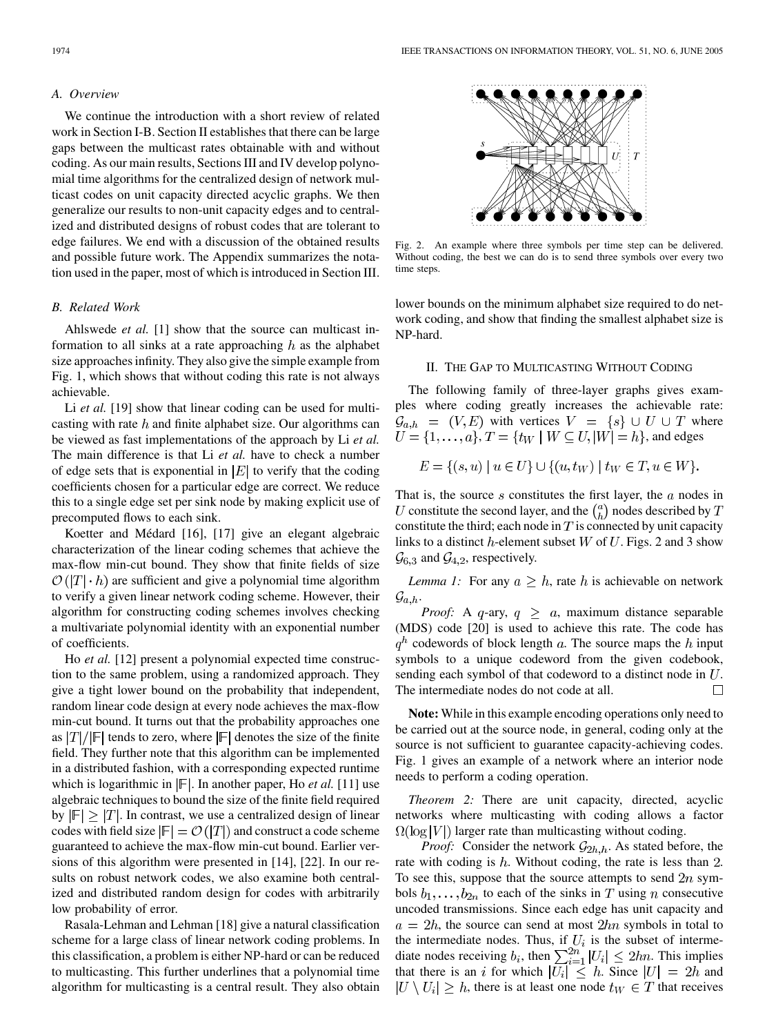# *A. Overview*

We continue the introduction with a short review of related work in Section I-B. Section II establishes that there can be large gaps between the multicast rates obtainable with and without coding. As our main results, Sections III and IV develop polynomial time algorithms for the centralized design of network multicast codes on unit capacity directed acyclic graphs. We then generalize our results to non-unit capacity edges and to centralized and distributed designs of robust codes that are tolerant to edge failures. We end with a discussion of the obtained results and possible future work. The Appendix summarizes the notation used in the paper, most of which is introduced in Section III.

# *B. Related Work*

Ahlswede *et al.* [\[1](#page-8-0)] show that the source can multicast information to all sinks at a rate approaching  $h$  as the alphabet size approaches infinity. They also give the simple example from Fig. 1, which shows that without coding this rate is not always achievable.

Li *et al.* [[19\]](#page-9-0) show that linear coding can be used for multicasting with rate  $h$  and finite alphabet size. Our algorithms can be viewed as fast implementations of the approach by Li *et al.* The main difference is that Li *et al.* have to check a number of edge sets that is exponential in  $|E|$  to verify that the coding coefficients chosen for a particular edge are correct. We reduce this to a single edge set per sink node by making explicit use of precomputed flows to each sink.

Koetter and Médard [[16](#page-8-0)], [[17](#page-9-0)] give an elegant algebraic characterization of the linear coding schemes that achieve the max-flow min-cut bound. They show that finite fields of size  $\mathcal{O}(|T| \cdot h)$  are sufficient and give a polynomial time algorithm to verify a given linear network coding scheme. However, their algorithm for constructing coding schemes involves checking a multivariate polynomial identity with an exponential number of coefficients.

Ho *et al.* [\[12](#page-8-0)] present a polynomial expected time construction to the same problem, using a randomized approach. They give a tight lower bound on the probability that independent, random linear code design at every node achieves the max-flow min-cut bound. It turns out that the probability approaches one as  $|T|/|F|$  tends to zero, where  $|F|$  denotes the size of the finite field. They further note that this algorithm can be implemented in a distributed fashion, with a corresponding expected runtime which is logarithmic in  $\mathbb{F}$ . In another paper, Ho *et al.* [[11\]](#page-8-0) use algebraic techniques to bound the size of the finite field required by  $|F| \geq |T|$ . In contrast, we use a centralized design of linear codes with field size  $|F| = O(|T|)$  and construct a code scheme guaranteed to achieve the max-flow min-cut bound. Earlier versions of this algorithm were presented in [\[14](#page-8-0)], [\[22](#page-9-0)]. In our results on robust network codes, we also examine both centralized and distributed random design for codes with arbitrarily low probability of error.

Rasala-Lehman and Lehman [\[18](#page-9-0)] give a natural classification scheme for a large class of linear network coding problems. In this classification, a problem is either NP-hard or can be reduced to multicasting. This further underlines that a polynomial time algorithm for multicasting is a central result. They also obtain



Fig. 2. An example where three symbols per time step can be delivered. Without coding, the best we can do is to send three symbols over every two time steps.

lower bounds on the minimum alphabet size required to do network coding, and show that finding the smallest alphabet size is NP-hard.

# II. THE GAP TO MULTICASTING WITHOUT CODING

The following family of three-layer graphs gives examples where coding greatly increases the achievable rate:  $\mathcal{G}_{a,h} = (V,E)$  with vertices  $V = \{s\} \cup U \cup T$  where  $U = \{1, ..., a\}, T = \{t_W | W \subseteq U, |W| = h\}$ , and edges

$$
E = \{(s, u) \mid u \in U\} \cup \{(u, t_W) \mid t_W \in T, u \in W\}.
$$

That is, the source  $s$  constitutes the first layer, the  $a$  nodes in U constitute the second layer, and the  $\binom{a}{b}$  nodes described by T constitute the third; each node in  $T$  is connected by unit capacity links to a distinct  $h$ -element subset  $W$  of  $U$ . Figs. 2 and 3 show  $\mathcal{G}_{6,3}$  and  $\mathcal{G}_{4,2}$ , respectively.

*Lemma 1:* For any  $a \geq h$ , rate h is achievable on network  $\mathcal{G}_{a,h}$ .

*Proof:* A  $q$ -ary,  $q \geq a$ , maximum distance separable (MDS) code [\[20](#page-9-0)] is used to achieve this rate. The code has  $q<sup>h</sup>$  codewords of block length a. The source maps the h input symbols to a unique codeword from the given codebook, sending each symbol of that codeword to a distinct node in  $U$ . The intermediate nodes do not code at all.  $\Box$ 

**Note:** While in this example encoding operations only need to be carried out at the source node, in general, coding only at the source is not sufficient to guarantee capacity-achieving codes. Fig. 1 gives an example of a network where an interior node needs to perform a coding operation.

*Theorem 2:* There are unit capacity, directed, acyclic networks where multicasting with coding allows a factor  $\Omega(\log|V|)$  larger rate than multicasting without coding.

*Proof:* Consider the network  $\mathcal{G}_{2h,h}$ . As stated before, the rate with coding is  $h$ . Without coding, the rate is less than 2. To see this, suppose that the source attempts to send  $2n$  symbols  $b_1, \ldots, b_{2n}$  to each of the sinks in T using n consecutive uncoded transmissions. Since each edge has unit capacity and  $a = 2h$ , the source can send at most  $2hn$  symbols in total to the intermediate nodes. Thus, if  $U_i$  is the subset of intermediate nodes receiving  $b_i$ , then  $\sum_{i=1}^{2n} |U_i| \leq 2hn$ . This implies that there is an i for which  $|U_i| \leq h$ . Since  $|U| = 2h$  and  $|U \setminus U_i| \geq h$ , there is at least one node  $t_W \in T$  that receives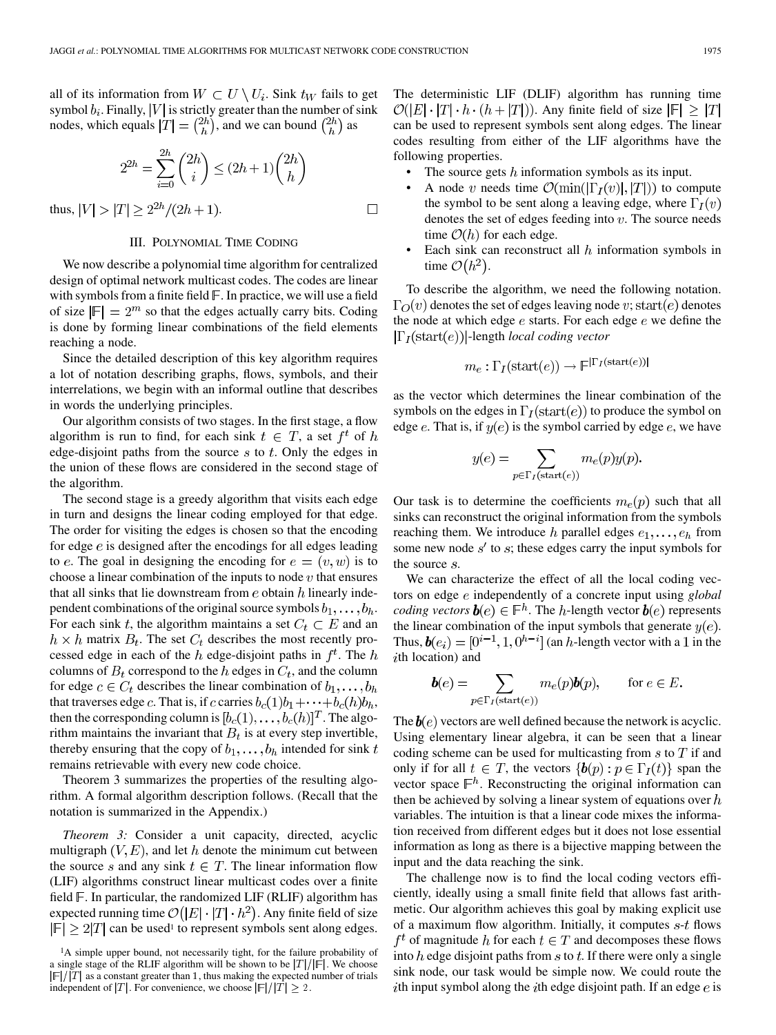$\Box$ 

all of its information from  $W \subset U \setminus U_i$ . Sink  $t_W$  fails to get symbol  $b_i$ . Finally,  $|V|$  is strictly greater than the number of sink nodes, which equals  $|T| = \binom{2h}{h}$ , and we can bound  $\binom{2h}{h}$  as

$$
2^{2h} = \sum_{i=0}^{2h} \binom{2h}{i} \le (2h+1) \binom{2h}{h}
$$

thus,  $|V| > |T| \geq 2^{2h}/(2h+1)$ .

# III. POLYNOMIAL TIME CODING

We now describe a polynomial time algorithm for centralized design of optimal network multicast codes. The codes are linear with symbols from a finite field  $\mathbb F$ . In practice, we will use a field of size  $\left|\mathbb{F}\right|=2^m$  so that the edges actually carry bits. Coding is done by forming linear combinations of the field elements reaching a node.

Since the detailed description of this key algorithm requires a lot of notation describing graphs, flows, symbols, and their interrelations, we begin with an informal outline that describes in words the underlying principles.

Our algorithm consists of two stages. In the first stage, a flow algorithm is run to find, for each sink  $t \in T$ , a set  $f^t$  of h edge-disjoint paths from the source  $s$  to  $t$ . Only the edges in the union of these flows are considered in the second stage of the algorithm.

The second stage is a greedy algorithm that visits each edge in turn and designs the linear coding employed for that edge. The order for visiting the edges is chosen so that the encoding for edge  $e$  is designed after the encodings for all edges leading to e. The goal in designing the encoding for  $e = (v, w)$  is to choose a linear combination of the inputs to node  $v$  that ensures that all sinks that lie downstream from  $e$  obtain  $h$  linearly independent combinations of the original source symbols  $b_1, \ldots, b_h$ . For each sink t, the algorithm maintains a set  $C_t \subset E$  and an  $h \times h$  matrix  $B_t$ . The set  $C_t$  describes the most recently processed edge in each of the h edge-disjoint paths in  $f<sup>t</sup>$ . The h columns of  $B_t$  correspond to the h edges in  $C_t$ , and the column for edge  $c \in C_t$  describes the linear combination of  $b_1, \ldots, b_h$ that traverses edge c. That is, if c carries  $b_c(1)b_1+\cdots+b_c(h)b_h$ , then the corresponding column is  $[b_c(1), \ldots, b_c(h)]^T$ . The algorithm maintains the invariant that  $B_t$  is at every step invertible, thereby ensuring that the copy of  $b_1, \ldots, b_h$  intended for sink t remains retrievable with every new code choice.

Theorem 3 summarizes the properties of the resulting algorithm. A formal algorithm description follows. (Recall that the notation is summarized in the Appendix.)

*Theorem 3:* Consider a unit capacity, directed, acyclic multigraph  $(V, E)$ , and let h denote the minimum cut between the source s and any sink  $t \in T$ . The linear information flow (LIF) algorithms construct linear multicast codes over a finite field  $\mathbb F$ . In particular, the randomized LIF (RLIF) algorithm has expected running time  $\mathcal{O}(|E| \cdot |T| \cdot h^2)$ . Any finite field of size  $|\mathbb{F}| \ge 2|T|$  can be used<sup>1</sup> to represent symbols sent along edges. The deterministic LIF (DLIF) algorithm has running time  $\mathcal{O}(|E| \cdot |T| \cdot h \cdot (h + |T|))$ . Any finite field of size  $|F| \geq |T|$ can be used to represent symbols sent along edges. The linear codes resulting from either of the LIF algorithms have the following properties.

- The source gets  $h$  information symbols as its input.
- A node v needs time  $\mathcal{O}(\min(|\Gamma_I(v)|, |T|))$  to compute the symbol to be sent along a leaving edge, where  $\Gamma_I(v)$ denotes the set of edges feeding into  $v$ . The source needs time  $\mathcal{O}(h)$  for each edge.
- Each sink can reconstruct all  $h$  information symbols in time  $\mathcal{O}(h^2)$ .

To describe the algorithm, we need the following notation.  $\Gamma_O(v)$  denotes the set of edges leaving node v; start(e) denotes the node at which edge  $e$  starts. For each edge  $e$  we define the  $|\Gamma_I(\text{start}(e))|$ -length *local coding vector* 

$$
m_e: \Gamma_I(\text{start}(e)) \to \mathbb{F}^{|\Gamma_I(\text{start}(e))|}
$$

as the vector which determines the linear combination of the symbols on the edges in  $\Gamma_I(\text{start}(e))$  to produce the symbol on edge e. That is, if  $y(e)$  is the symbol carried by edge e, we have

$$
y(e) = \sum_{p \in \Gamma_I(\text{start}(e))} m_e(p) y(p).
$$

Our task is to determine the coefficients  $m_e(p)$  such that all sinks can reconstruct the original information from the symbols reaching them. We introduce h parallel edges  $e_1, \ldots, e_h$  from some new node  $s'$  to s; these edges carry the input symbols for the source s.

We can characterize the effect of all the local coding vectors on edge *e* independently of a concrete input using *global coding vectors*  $\mathbf{b}(e) \in \mathbb{F}^h$ . The *h*-length vector  $\mathbf{b}(e)$  represents the linear combination of the input symbols that generate  $y(e)$ . Thus,  $\boldsymbol{b}(e_i) = [0^{i-1}, 1, 0^{h-i}]$  (an *h*-length vector with a 1 in the  $i$ th location) and

$$
\mathbf{b}(e) = \sum_{p \in \Gamma_I(\text{start}(e))} m_e(p) \mathbf{b}(p), \quad \text{for } e \in E.
$$

The  $b(e)$  vectors are well defined because the network is acyclic. Using elementary linear algebra, it can be seen that a linear coding scheme can be used for multicasting from  $s$  to  $T$  if and only if for all  $t \in T$ , the vectors  $\{\boldsymbol{b}(p) : p \in \Gamma_I(t)\}$  span the vector space  $\mathbb{F}^h$ . Reconstructing the original information can then be achieved by solving a linear system of equations over  $h$ variables. The intuition is that a linear code mixes the information received from different edges but it does not lose essential information as long as there is a bijective mapping between the input and the data reaching the sink.

The challenge now is to find the local coding vectors efficiently, ideally using a small finite field that allows fast arithmetic. Our algorithm achieves this goal by making explicit use of a maximum flow algorithm. Initially, it computes  $s$ - $t$  flows  $f^t$  of magnitude h for each  $t \in T$  and decomposes these flows into  $h$  edge disjoint paths from  $s$  to  $t$ . If there were only a single sink node, our task would be simple now. We could route the ith input symbol along the ith edge disjoint path. If an edge  $e$  is

<sup>&</sup>lt;sup>1</sup>A simple upper bound, not necessarily tight, for the failure probability of a single stage of the RLIF algorithm will be shown to be  $|T|/|F|$ . We choose  $|F|/|T|$  as a constant greater than 1, thus making the expected number of trials independent of |T|. For convenience, we choose  $\left| \mathbb{F}\right| / \left| T \right| \geq 2$ .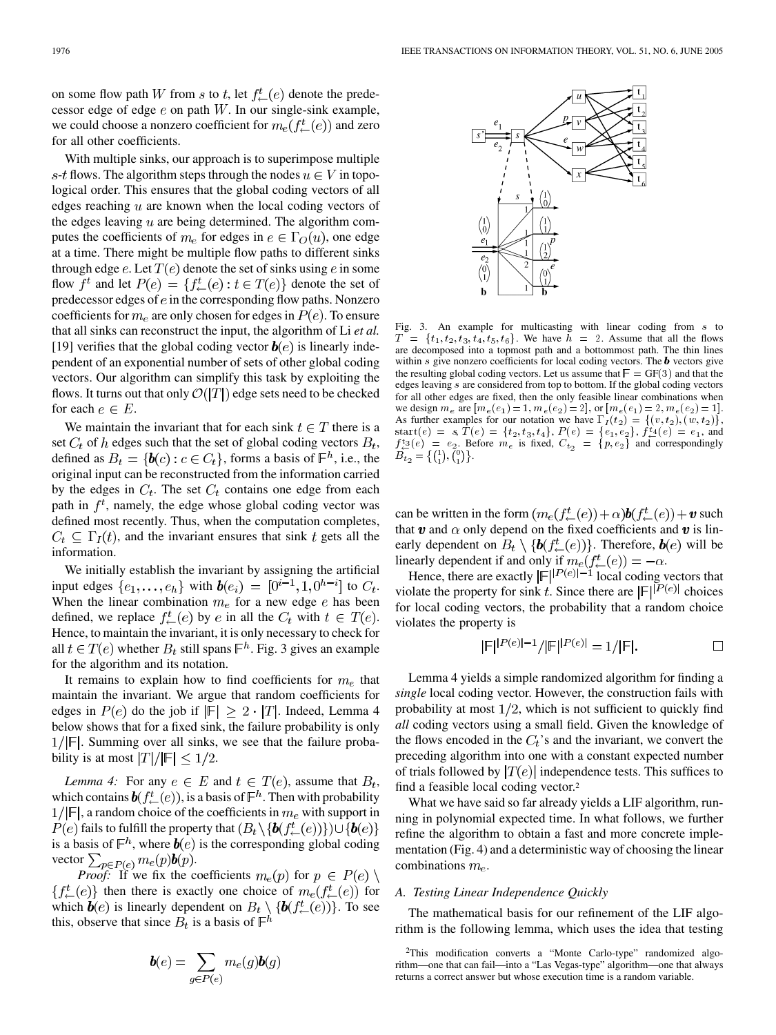on some flow path W from s to t, let  $f^t(\epsilon)$  denote the predecessor edge of edge  $e$  on path  $W$ . In our single-sink example, we could choose a nonzero coefficient for  $m_e(f^t_{\leftarrow}(e))$  and zero for all other coefficients.

With multiple sinks, our approach is to superimpose multiple s-t flows. The algorithm steps through the nodes  $u \in V$  in topological order. This ensures that the global coding vectors of all edges reaching  $u$  are known when the local coding vectors of the edges leaving  $u$  are being determined. The algorithm computes the coefficients of  $m_e$  for edges in  $e \in \Gamma_O(u)$ , one edge at a time. There might be multiple flow paths to different sinks through edge e. Let  $T(e)$  denote the set of sinks using e in some flow  $f^t$  and let  $P(e) = \{f^t_{\leftarrow}(e) : t \in T(e)\}\$  denote the set of predecessor edges of  $e$  in the corresponding flow paths. Nonzero coefficients for  $m_e$  are only chosen for edges in  $P(e)$ . To ensure that all sinks can reconstruct the input, the algorithm of Li *et al.* [[19\]](#page-9-0) verifies that the global coding vector  $\mathbf{b}(e)$  is linearly independent of an exponential number of sets of other global coding vectors. Our algorithm can simplify this task by exploiting the flows. It turns out that only  $\mathcal{O}(|T|)$  edge sets need to be checked for each  $e \in E$ .

We maintain the invariant that for each sink  $t \in T$  there is a set  $C_t$  of h edges such that the set of global coding vectors  $B_t$ , defined as  $B_t = \{b(c) : c \in C_t\}$ , forms a basis of  $\mathbb{F}^h$ , i.e., the original input can be reconstructed from the information carried by the edges in  $C_t$ . The set  $C_t$  contains one edge from each path in  $f^t$ , namely, the edge whose global coding vector was defined most recently. Thus, when the computation completes,  $C_t \subseteq \Gamma_I(t)$ , and the invariant ensures that sink t gets all the information.

We initially establish the invariant by assigning the artificial input edges  $\{e_1, \ldots, e_h\}$  with  $\boldsymbol{b}(e_i) = [0^{i-1}, 1, 0^{h-i}]$  to  $C_t$ . When the linear combination  $m_e$  for a new edge  $e$  has been defined, we replace  $f_{\leftarrow}^t(e)$  by e in all the  $C_t$  with  $t \in T(e)$ . Hence, to maintain the invariant, it is only necessary to check for all  $t \in T(e)$  whether  $B_t$  still spans  $\mathbb{F}^h$ . Fig. 3 gives an example for the algorithm and its notation.

It remains to explain how to find coefficients for  $m_e$  that maintain the invariant. We argue that random coefficients for edges in  $P(e)$  do the job if  $|\mathbb{F}| \geq 2 \cdot |T|$ . Indeed, Lemma 4 below shows that for a fixed sink, the failure probability is only  $1/|F|$ . Summing over all sinks, we see that the failure probability is at most  $|T|/|F| \leq 1/2$ .

*Lemma 4:* For any  $e \in E$  and  $t \in T(e)$ , assume that  $B_t$ , which contains  $\mathbf{b}(f_{\leftarrow}^t(e))$ , is a basis of  $\mathbb{F}^h$ . Then with probability  $1/|\mathbb{F}|$ , a random choice of the coefficients in  $m_e$  with support in  $P(e)$  fails to fulfill the property that  $(B_t \setminus \{b(f_{\leftarrow}^t(e))\}) \cup \{b(e)\}\)$ is a basis of  $\mathbb{F}^h$ , where  $\boldsymbol{b}(e)$  is the corresponding global coding vector  $\sum_{p \in P(e)} m_e(p) \mathbf{b}(p)$ .

*Proof:* If we fix the coefficients  $m_e(p)$  for  $p \in P(e)$  $\{f^t_{\leftarrow}(e)\}\$  then there is exactly one choice of  $m_e(f^t_{\leftarrow}(e))$  for which  $\boldsymbol{b}(e)$  is linearly dependent on  $B_t \setminus {\boldsymbol{b}(f_{\leftarrow}^t(e))}$ . To see this, observe that since  $B_t$  is a basis of  $\mathbb{F}^h$ 

$$
\boldsymbol{b}(e) = \sum_{g \in P(e)} m_e(g) \boldsymbol{b}(g)
$$

Fig. 3. An example for multicasting with linear coding from s to  $T = \{t_1, t_2, t_3, t_4, t_5, t_6\}$ . We have  $h = 2$ . Assume that all the flows are decomposed into a topmost path and a bottommost path. The thin lines within  $s$  give nonzero coefficients for local coding vectors. The  $b$  vectors give the resulting global coding vectors. Let us assume that  $\mathbb{F} = \mathbb{GF}(3)$  and that the edges leaving s are considered from top to bottom. If the global coding vectors for all other edges are fixed, then the only feasible linear combinations when we design  $m_e$  are  $[m_e(e_1) = 1, m_e(e_2) = 2]$ , or  $[m_e(e_1) = 2, m_e(e_2) = 1]$ . As further examples for our notation we have  $\Gamma_I(t_2) = \{(v, t_2), (w, t_2)\}\,$ , start $(e) = s$ ,  $T(e) = \{t_2, t_3, t_4\}, P(e) = \{e_1, e_2\}, f_{\leftarrow}^{t_4}(e) = e_1$ , and  $f_{\leftarrow}^{t_3}(e) = e_2$ . Before  $m_e$  is fixed,  $C_{t_2} = \{p, e_2\}$  and correspondingly  $B_{t_2} = \{(\begin{smallmatrix}1\\1\end{smallmatrix}), (\begin{smallmatrix}0\\1\end{smallmatrix})\}.$ 

can be written in the form  $(m_e(f_{\leftarrow}^t(e)) + \alpha) \mathbf{b}(f_{\leftarrow}^t(e)) + v$  such that  $\boldsymbol{v}$  and  $\alpha$  only depend on the fixed coefficients and  $\boldsymbol{v}$  is linearly dependent on  $B_t \setminus \{b(f_{\leftarrow}^t(e))\}$ . Therefore,  $b(e)$  will be linearly dependent if and only if  $m_e(f^t_{\leftarrow}(e)) = -\alpha$ .

Hence, there are exactly  $\mathbb{E} \mathcal{F}^{|P(e)|-1}$  local coding vectors that violate the property for sink t. Since there are  $\mathbb{E} \left| \mathbb{P}^{(e)} \right|$  choices for local coding vectors, the probability that a random choice violates the property is

$$
|\mathbb{F}|^{|P(e)|-1}/|\mathbb{F}|^{|P(e)|}=1/|\mathbb{F}|.
$$

Lemma 4 yields a simple randomized algorithm for finding a *single* local coding vector. However, the construction fails with probability at most  $1/2$ , which is not sufficient to quickly find *all* coding vectors using a small field. Given the knowledge of the flows encoded in the  $C_t$ 's and the invariant, we convert the preceding algorithm into one with a constant expected number of trials followed by  $|T(e)|$  independence tests. This suffices to find a feasible local coding vector.2

What we have said so far already yields a LIF algorithm, running in polynomial expected time. In what follows, we further refine the algorithm to obtain a fast and more concrete implementation (Fig. 4) and a deterministic way of choosing the linear combinations  $m_e$ .

#### *A. Testing Linear Independence Quickly*

The mathematical basis for our refinement of the LIF algorithm is the following lemma, which uses the idea that testing



<sup>2</sup>This modification converts a "Monte Carlo-type" randomized algorithm—one that can fail—into a "Las Vegas-type" algorithm—one that always returns a correct answer but whose execution time is a random variable.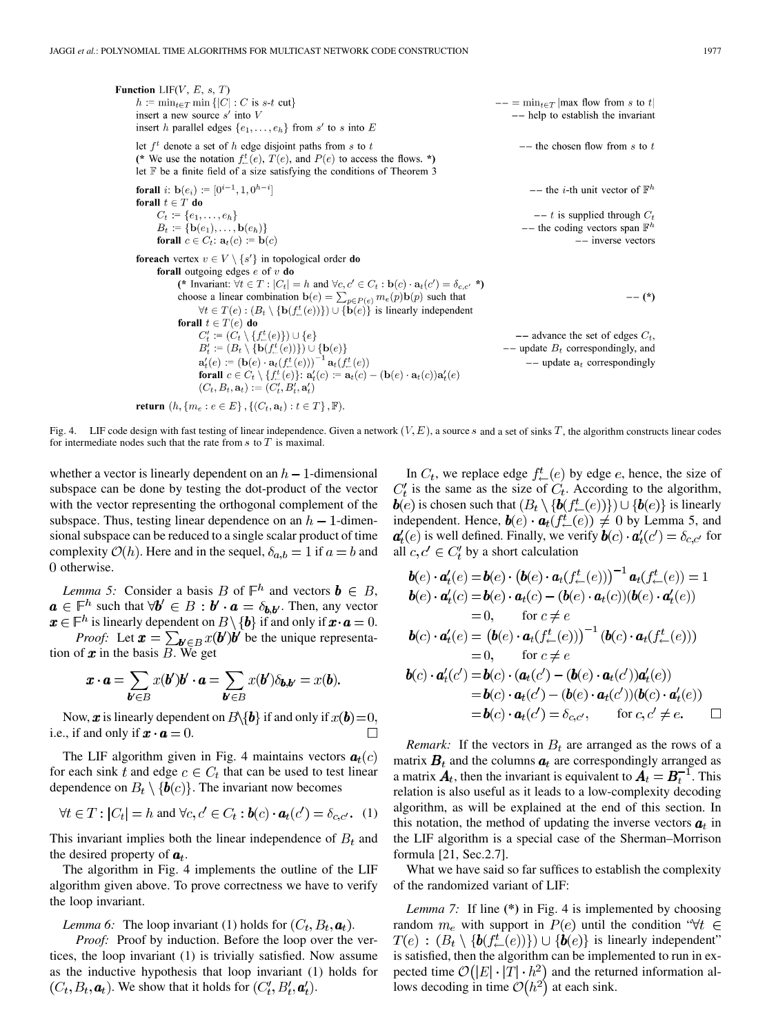**Function** LIF(V, E, s, T)  
\n*h* := min<sub>t</sub>∈T min {|C| : C is s-t cut}  
\ninsert a new source s' into  
\ninsert *h* parallel edges {*e*<sub>1</sub>,...,*e*<sub>h</sub>} from s' to s into E  
\nlet *f*<sup>t</sup> denote a set of *h* edge disjoint paths from s to t  
\n(∗ We use the notation 
$$
f_{\perp}^{t}(e)
$$
,  $T(e)$ , and  $P(e)$  to access the flows. \*  
\nlet F be a finite field of a size satisfying the conditions of Theorem 3  
\n**forall** *i*: b(*e*<sub>i</sub>) := [0<sup>i-1</sup>, 1, 0<sup>{h-i}</sup> ]  
\n**forall** *t* ∈ T **do**  
\n*C<sub>t</sub>* := {*e*<sub>1</sub>,...,*e*<sub>h</sub>}  
\n**forall** *c* ∈ *C<sub>t</sub>*: a<sub>t</sub>(*c*) := b(*c*)  
\n**for each vertex** *v* ∈ *V* \ {*s'*} in topological order **do**  
\n**forall** *o* ∈ *C<sub>t</sub>*: a<sub>t</sub>(*c*) = b(*c*)  
\n**for each vertex** *v* ∈ *V* \ {*s'*} in topological order **do**  
\n**forall** *o* ∈ *C<sub>t</sub>*: a<sub>t</sub>(*c*) = b(*c*)  
\n**for each vertex** *v* ∈ *V* \ {*s'*} in topological order **do**  
\n**for all** *v* ∈ *T* : [*C<sub>t</sub>* | = *h* and *V*<sub>c</sub>, *c'* ∈ *C<sub>t</sub>*: b(*c*) · a<sub>t</sub>(*c'*) = δ<sub>c,c'</sub> \*  
\n**for all** *t* ∈ *T*(*e*) **do**  
\n*C'<sub>t</sub>* := {*C*

**return** 
$$
(h, \{m_e : e \in E\}, \{(C_t, \mathbf{a}_t) : t \in T\}, \mathbb{F})
$$
.

Fig. 4. LIF code design with fast testing of linear independence. Given a network  $(V, E)$ , a source s and a set of sinks T, the algorithm constructs linear codes for intermediate nodes such that the rate from  $s$  to  $T$  is maximal.

whether a vector is linearly dependent on an  $h-1$ -dimensional subspace can be done by testing the dot-product of the vector with the vector representing the orthogonal complement of the subspace. Thus, testing linear dependence on an  $h-1$ -dimensional subspace can be reduced to a single scalar product of time complexity  $\mathcal{O}(h)$ . Here and in the sequel,  $\delta_{a,b} = 1$  if  $a = b$  and 0 otherwise.

*Lemma 5:* Consider a basis B of  $\mathbb{F}^h$  and vectors  $\mathbf{b} \in B$ , such that  $\forall \mathbf{b}' \in B : \mathbf{b}' \cdot \mathbf{a} = \delta_{\mathbf{b}, \mathbf{b}'}$ . Then, any vector is linearly dependent on  $B \setminus \{b\}$  if and only if  $\mathbf{x} \cdot \mathbf{a} = 0$ .

*Proof:* Let  $\mathbf{x} = \sum_{\mathbf{b}' \in B} x(\mathbf{b}')\mathbf{b}'$  be the unique representation of  $x$  in the basis  $B$ . We get

$$
\boldsymbol{x} \cdot \boldsymbol{a} = \sum_{\boldsymbol{b}' \in B} x(\boldsymbol{b}') \boldsymbol{b}' \cdot \boldsymbol{a} = \sum_{\boldsymbol{b}' \in B} x(\boldsymbol{b}') \delta_{\boldsymbol{b}, \boldsymbol{b}'} = x(\boldsymbol{b}).
$$

Now, x is linearly dependent on  $B\backslash \{b\}$  if and only if  $x(b)=0$ , i.e., if and only if  $\mathbf{x} \cdot \mathbf{a} = 0$ .  $\Box$ 

The LIF algorithm given in Fig. 4 maintains vectors  $a_t(c)$ for each sink t and edge  $c \in C_t$  that can be used to test linear dependence on  $B_t \setminus \{b(c)\}\.$  The invariant now becomes

$$
\forall t \in T : |C_t| = h \text{ and } \forall c, c' \in C_t : \boldsymbol{b}(c) \cdot \boldsymbol{a}_t(c') = \delta_{c,c'}.
$$
 (1)

This invariant implies both the linear independence of  $B_t$  and the desired property of  $a_t$ .

The algorithm in Fig. 4 implements the outline of the LIF algorithm given above. To prove correctness we have to verify the loop invariant.

*Lemma 6:* The loop invariant (1) holds for  $(C_t, B_t, \boldsymbol{a}_t)$ .

*Proof:* Proof by induction. Before the loop over the vertices, the loop invariant (1) is trivially satisfied. Now assume as the inductive hypothesis that loop invariant (1) holds for  $(C_t, B_t, \mathbf{a}_t)$ . We show that it holds for  $(C_t', B_t', \mathbf{a}_t')$ .

In  $C_t$ , we replace edge  $f^t_-(e)$  by edge e, hence, the size of  $C'_t$  is the same as the size of  $C'_t$ . According to the algorithm,  $\mathbf{b}(e)$  is chosen such that  $(B_t \setminus {\{\mathbf{b}(f_{\leftarrow}^t(e)\})\}}) \cup {\{\mathbf{b}(e)\}}$  is linearly independent. Hence,  $\mathbf{b}(e) \cdot \mathbf{a}_t(f^t_-(e)) \neq 0$  by Lemma 5, and  $a'_t(e)$  is well defined. Finally, we verify  $\mathbf{b}(c) \cdot \mathbf{a}'_t(c') = \delta_{c,c'}$  for all  $c, c' \in C'_t$  by a short calculation

$$
\mathbf{b}(e) \cdot \mathbf{a}'_t(e) = \mathbf{b}(e) \cdot (\mathbf{b}(e) \cdot \mathbf{a}_t(f^t_{\leftarrow}(e)))^{-1} \mathbf{a}_t(f^t_{\leftarrow}(e)) = 1
$$
\n
$$
\mathbf{b}(e) \cdot \mathbf{a}'_t(c) = \mathbf{b}(e) \cdot \mathbf{a}_t(c) - (\mathbf{b}(e) \cdot \mathbf{a}_t(c))(\mathbf{b}(e) \cdot \mathbf{a}'_t(e))
$$
\n
$$
= 0, \quad \text{for } c \neq e
$$
\n
$$
\mathbf{b}(c) \cdot \mathbf{a}'_t(e) = (\mathbf{b}(e) \cdot \mathbf{a}_t(f^t_{\leftarrow}(e)))^{-1} (\mathbf{b}(c) \cdot \mathbf{a}_t(f^t_{\leftarrow}(e)))
$$
\n
$$
= 0, \quad \text{for } c \neq e
$$
\n
$$
\mathbf{b}(c) \cdot \mathbf{a}'_t(c') = \mathbf{b}(c) \cdot (\mathbf{a}_t(c') - (\mathbf{b}(e) \cdot \mathbf{a}_t(c'))\mathbf{a}'_t(e))
$$
\n
$$
= \mathbf{b}(c) \cdot \mathbf{a}_t(c') - (\mathbf{b}(e) \cdot \mathbf{a}_t(c'))(\mathbf{b}(c) \cdot \mathbf{a}'_t(e))
$$
\n
$$
= \mathbf{b}(c) \cdot \mathbf{a}_t(c') = \delta_{c,c'}, \quad \text{for } c, c' \neq e. \quad \Box
$$

*Remark:* If the vectors in  $B_t$  are arranged as the rows of a matrix  $B_t$  and the columns  $a_t$  are correspondingly arranged as a matrix  $A_t$ , then the invariant is equivalent to  $A_t = B_t^{-1}$ . This relation is also useful as it leads to a low-complexity decoding algorithm, as will be explained at the end of this section. In this notation, the method of updating the inverse vectors  $a_t$  in the LIF algorithm is a special case of the Sherman–Morrison formula [[21,](#page-9-0) Sec.2.7].

What we have said so far suffices to establish the complexity of the randomized variant of LIF:

*Lemma 7:* If line **(\*)** in Fig. 4 is implemented by choosing random  $m_e$  with support in  $P(e)$  until the condition " $\forall t \in$  $T(e)$ :  $(B_t \setminus \{b(f_{\leftarrow}^t(e))\}) \cup \{b(e)\}\$ is linearly independent" is satisfied, then the algorithm can be implemented to run in expected time  $\mathcal{O}(|E| \cdot |T| \cdot h^2)$  and the returned information allows decoding in time  $\mathcal{O}(h^2)$  at each sink.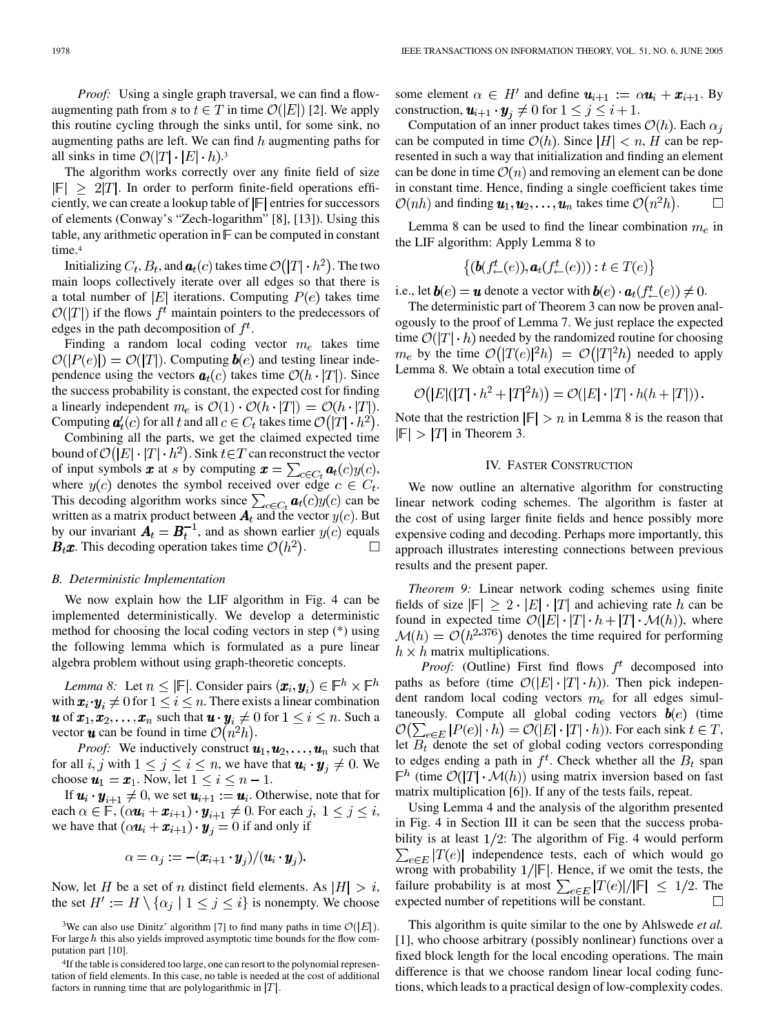*Proof:* Using a single graph traversal, we can find a flowaugmenting path from s to  $t \in T$  in time  $\mathcal{O}(|E|)$  [[2\]](#page-8-0). We apply this routine cycling through the sinks until, for some sink, no augmenting paths are left. We can find  $h$  augmenting paths for all sinks in time  $\mathcal{O}(|T| \cdot |E| \cdot h).$ <sup>3</sup>

The algorithm works correctly over any finite field of size  $|\mathbb{F}| \geq 2|T|$ . In order to perform finite-field operations efficiently, we can create a lookup table of  $|F|$  entries for successors of elements (Conway's "Zech-logarithm" [\[8](#page-8-0)], [\[13](#page-8-0)]). Using this table, any arithmetic operation in  $\mathbb F$  can be computed in constant time.<sup>4</sup>

Initializing  $C_t$ ,  $B_t$ , and  $a_t(c)$  takes time  $\mathcal{O}(|T| \cdot h^2)$ . The two main loops collectively iterate over all edges so that there is a total number of  $|E|$  iterations. Computing  $P(e)$  takes time  $\mathcal{O}(|T|)$  if the flows  $f^t$  maintain pointers to the predecessors of edges in the path decomposition of  $f^t$ .

Finding a random local coding vector  $m_e$  takes time  $\mathcal{O}(|P(e)|) = \mathcal{O}(|T|)$ . Computing  $\boldsymbol{b}(e)$  and testing linear independence using the vectors  $a_t(c)$  takes time  $\mathcal{O}(h \cdot |T|)$ . Since the success probability is constant, the expected cost for finding a linearly independent  $m_e$  is  $\mathcal{O}(1) \cdot \mathcal{O}(h \cdot |T|) = \mathcal{O}(h \cdot |T|)$ . Computing  $a'_t(c)$  for all t and all  $c \in C_t$  takes time  $\mathcal{O}(|T| \cdot h^2)$ .

Combining all the parts, we get the claimed expected time bound of  $\mathcal{O}(|E| \cdot |T| \cdot h^2)$ . Sink  $t \in T$  can reconstruct the vector of input symbols  $\boldsymbol{x}$  at s by computing  $\boldsymbol{x} = \sum_{c \in C_t} \boldsymbol{a}_t(c) y(c)$ , where  $y(c)$  denotes the symbol received over edge  $c \in C_t$ . This decoding algorithm works since  $\sum_{c \in C_t} \mathbf{a}_t(c) y(c)$  can be written as a matrix product between  $A_t$  and the vector  $y(c)$ . But by our invariant  $\mathbf{A}_t = \mathbf{B}_t^{-1}$ , and as shown earlier  $y(c)$  equals  $\mathbf{B}_t \mathbf{x}$ . This decoding operation takes time  $\mathcal{O}(h^2)$ .  $\Box$ 

### *B. Deterministic Implementation*

We now explain how the LIF algorithm in Fig. 4 can be implemented deterministically. We develop a deterministic method for choosing the local coding vectors in step (\*) using the following lemma which is formulated as a pure linear algebra problem without using graph-theoretic concepts.

*Lemma 8:* Let  $n \leq |\mathbb{F}|$ . Consider pairs  $(\boldsymbol{x}_i, \boldsymbol{y}_i) \in \mathbb{F}^h \times \mathbb{F}^h$ with  $\mathbf{x}_i \cdot \mathbf{y}_i \neq 0$  for  $1 \leq i \leq n$ . There exists a linear combination **u** of  $x_1, x_2, \ldots, x_n$  such that  $\mathbf{u} \cdot \mathbf{y}_i \neq 0$  for  $1 \leq i \leq n$ . Such a vector  $\boldsymbol{u}$  can be found in time  $\mathcal{O}(n^2h)$ .

*Proof:* We inductively construct  $u_1, u_2, \ldots, u_n$  such that for all  $i, j$  with  $1 \le j \le i \le n$ , we have that  $\mathbf{u}_i \cdot \mathbf{y}_j \ne 0$ . We choose  $u_1 = x_1$ . Now, let  $1 \le i \le n - 1$ .

If  $u_i \cdot y_{i+1} \neq 0$ , we set  $u_{i+1} := u_i$ . Otherwise, note that for each  $\alpha \in \mathbb{F}$ ,  $(\alpha \mathbf{u}_i + \mathbf{x}_{i+1}) \cdot \mathbf{y}_{i+1} \neq 0$ . For each  $j, 1 \leq j \leq i$ , we have that  $(\alpha \mathbf{u}_i + \mathbf{x}_{i+1}) \cdot \mathbf{y}_i = 0$  if and only if

$$
\alpha = \alpha_j := -(x_{i+1} \cdot y_j)/(u_i \cdot y_j).
$$

Now, let H be a set of n distinct field elements. As  $|H| > i$ , the set  $H' := H \setminus \{ \alpha_j \mid 1 \leq j \leq i \}$  is nonempty. We choose

some element  $\alpha \in H'$  and define  $u_{i+1} := \alpha u_i + x_{i+1}$ . By construction,  $\mathbf{u}_{i+1} \cdot \mathbf{y}_i \neq 0$  for  $1 \leq j \leq i+1$ .

Computation of an inner product takes times  $\mathcal{O}(h)$ . Each  $\alpha_i$ can be computed in time  $\mathcal{O}(h)$ . Since  $|H| < n$ , H can be represented in such a way that initialization and finding an element can be done in time  $\mathcal{O}(n)$  and removing an element can be done in constant time. Hence, finding a single coefficient takes time  $\mathcal{O}(nh)$  and finding  $\mathbf{u}_1, \mathbf{u}_2, \dots, \mathbf{u}_n$  takes time  $\mathcal{O}(n^2h)$ .  $\Box$ 

Lemma 8 can be used to find the linear combination  $m_e$  in the LIF algorithm: Apply Lemma 8 to

$$
\big\{(\boldsymbol{b}(f^t_{\leftarrow}(e)), \boldsymbol{a}_t(f^t_{\leftarrow}(e))) : t \in T(e)\big\}
$$

i.e., let  $\mathbf{b}(e) = \mathbf{u}$  denote a vector with  $\mathbf{b}(e) \cdot \mathbf{a}_t(f^t(\epsilon)) \neq 0$ .

The deterministic part of Theorem 3 can now be proven analogously to the proof of Lemma 7. We just replace the expected time  $\mathcal{O}(|T| \cdot h)$  needed by the randomized routine for choosing  $m_e$  by the time  $\mathcal{O}(|T(e)|^2 h) = \mathcal{O}(|T|^2 h)$  needed to apply Lemma 8. We obtain a total execution time of

$$
\mathcal{O}(|E|(|T| \cdot h^2 + |T|^2 h)) = \mathcal{O}(|E| \cdot |T| \cdot h(h + |T|)).
$$

Note that the restriction  $|F| > n$  in Lemma 8 is the reason that  $\left| \mathbb{F} \right| > \left| T \right|$  in Theorem 3.

## IV. FASTER CONSTRUCTION

We now outline an alternative algorithm for constructing linear network coding schemes. The algorithm is faster at the cost of using larger finite fields and hence possibly more expensive coding and decoding. Perhaps more importantly, this approach illustrates interesting connections between previous results and the present paper.

*Theorem 9:* Linear network coding schemes using finite fields of size  $|\mathbb{F}| \geq 2 \cdot |E| \cdot |T|$  and achieving rate h can be found in expected time  $\mathcal{O}(|E| \cdot |T| \cdot h + |T| \cdot \mathcal{M}(h))$ , where  $\mathcal{M}(h) = \mathcal{O}(h^{2.376})$  denotes the time required for performing  $h \times h$  matrix multiplications.

*Proof:* (Outline) First find flows  $f^t$  decomposed into paths as before (time  $\mathcal{O}(|E| \cdot |T| \cdot h)$ ). Then pick independent random local coding vectors  $m_e$  for all edges simultaneously. Compute all global coding vectors  $\mathbf{b}(e)$  (time  $\mathcal{O}(\sum_{e \in E} |P(e)| \cdot h) = \mathcal{O}(|E| \cdot |T| \cdot h)$ ). For each sink  $t \in T$ , let  $B_t$  denote the set of global coding vectors corresponding to edges ending a path in  $f^t$ . Check whether all the  $B_t$  span  $\mathbb{F}^h$  (time  $\mathcal{O}(|T| \cdot \mathcal{M}(h))$  using matrix inversion based on fast matrix multiplication [[6\]](#page-8-0)). If any of the tests fails, repeat.

Using Lemma 4 and the analysis of the algorithm presented in Fig. 4 in Section III it can be seen that the success probability is at least  $1/2$ : The algorithm of Fig. 4 would perform  $\sum_{e \in E} |T(e)|$  independence tests, each of which would go wrong with probability  $1/|\mathbb{F}|$ . Hence, if we omit the tests, the failure probability is at most  $\sum_{e \in E} |T(e)|/|F| \leq 1/2$ . The expected number of repetitions will be constant.  $\Box$ 

This algorithm is quite similar to the one by Ahlswede *et al.* [[1\]](#page-8-0), who choose arbitrary (possibly nonlinear) functions over a fixed block length for the local encoding operations. The main difference is that we choose random linear local coding functions, which leads to a practical design of low-complexity codes.

<sup>&</sup>lt;sup>3</sup>We can also use Dinitz' algorithm [\[7](#page-8-0)] to find many paths in time  $\mathcal{O}(|E|)$ . For large  $h$  this also yields improved asymptotic time bounds for the flow computation part [[10](#page-8-0)].

<sup>4</sup>If the table is considered too large, one can resort to the polynomial representation of field elements. In this case, no table is needed at the cost of additional factors in running time that are polylogarithmic in  $|T|$ .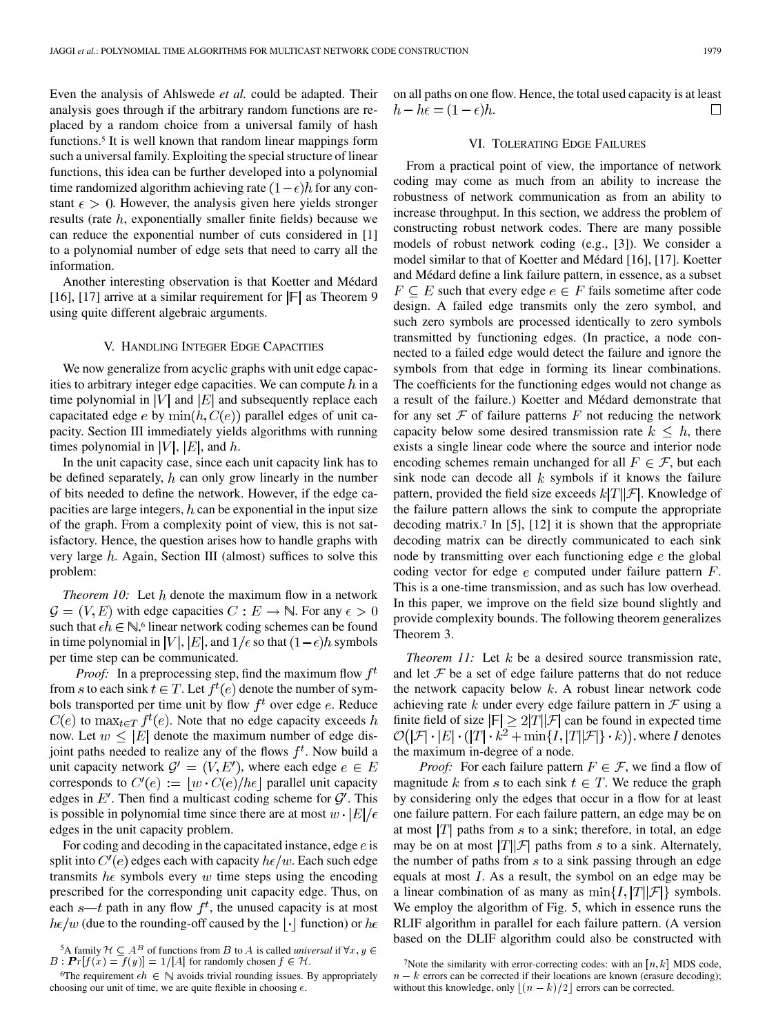Even the analysis of Ahlswede *et al.* could be adapted. Their analysis goes through if the arbitrary random functions are replaced by a random choice from a universal family of hash functions.5 It is well known that random linear mappings form such a universal family. Exploiting the special structure of linear functions, this idea can be further developed into a polynomial time randomized algorithm achieving rate  $(1 - \epsilon)h$  for any constant  $\epsilon > 0$ . However, the analysis given here yields stronger results (rate  $h$ , exponentially smaller finite fields) because we can reduce the exponential number of cuts considered in [[1\]](#page-8-0) to a polynomial number of edge sets that need to carry all the information.

Another interesting observation is that Koetter and Médard [\[16](#page-8-0)], [\[17](#page-9-0)] arrive at a similar requirement for  $|F|$  as Theorem 9 using quite different algebraic arguments.

# V. HANDLING INTEGER EDGE CAPACITIES

We now generalize from acyclic graphs with unit edge capacities to arbitrary integer edge capacities. We can compute  $h$  in a time polynomial in |V| and  $|E|$  and subsequently replace each capacitated edge e by  $\min(h, C(e))$  parallel edges of unit capacity. Section III immediately yields algorithms with running times polynomial in  $|V|$ ,  $|E|$ , and  $h$ .

In the unit capacity case, since each unit capacity link has to be defined separately,  $h$  can only grow linearly in the number of bits needed to define the network. However, if the edge capacities are large integers,  $h$  can be exponential in the input size of the graph. From a complexity point of view, this is not satisfactory. Hence, the question arises how to handle graphs with very large  $h$ . Again, Section III (almost) suffices to solve this problem:

*Theorem 10:* Let  $h$  denote the maximum flow in a network  $\mathcal{G} = (V, E)$  with edge capacities  $C : E \to \mathbb{N}$ . For any  $\epsilon > 0$ such that  $\epsilon h \in \mathbb{N}$ , linear network coding schemes can be found in time polynomial in |V|, |E|, and  $1/\epsilon$  so that  $(1-\epsilon)h$  symbols per time step can be communicated.

*Proof:* In a preprocessing step, find the maximum flow  $f<sup>t</sup>$ from s to each sink  $t \in T$ . Let  $f^t(e)$  denote the number of symbols transported per time unit by flow  $f<sup>t</sup>$  over edge  $e$ . Reduce  $C(e)$  to  $\max_{t \in \mathcal{T}} f^t(e)$ . Note that no edge capacity exceeds h now. Let  $w \leq |E|$  denote the maximum number of edge disjoint paths needed to realize any of the flows  $f<sup>t</sup>$ . Now build a unit capacity network  $\mathcal{G}' = (V, E')$ , where each edge  $e \in E$ corresponds to  $C'(e) := \lfloor w \cdot C(e)/h\epsilon \rfloor$  parallel unit capacity edges in  $E'$ . Then find a multicast coding scheme for  $\mathcal{G}'$ . This is possible in polynomial time since there are at most  $w \cdot |E|/\epsilon$ edges in the unit capacity problem.

For coding and decoding in the capacitated instance, edge  $e$  is split into  $C'(e)$  edges each with capacity  $h\epsilon/w$ . Each such edge transmits  $h\epsilon$  symbols every w time steps using the encoding prescribed for the corresponding unit capacity edge. Thus, on each  $s$ —t path in any flow  $f^t$ , the unused capacity is at most  $h\epsilon/w$  (due to the rounding-off caused by the  $|\cdot|$  function) or  $h\epsilon$ 

<sup>5</sup>A family  $\mathcal{H} \subseteq A^B$  of functions from B to A is called *universal* if  $\forall x, y \in A$  $B: \mathbf{Pr}[f(x) = f(y)] = 1/|A|$  for randomly chosen  $f \in \mathcal{H}$ .

on all paths on one flow. Hence, the total used capacity is at least  $h-h\epsilon=(1-\epsilon)h$ .  $\Box$ 

# VI. TOLERATING EDGE FAILURES

From a practical point of view, the importance of network coding may come as much from an ability to increase the robustness of network communication as from an ability to increase throughput. In this section, we address the problem of constructing robust network codes. There are many possible models of robust network coding (e.g., [\[3](#page-8-0)]). We consider a model similar to that of Koetter and Médard [[16\]](#page-8-0), [\[17](#page-9-0)]. Koetter and Médard define a link failure pattern, in essence, as a subset  $F \subseteq E$  such that every edge  $e \in F$  fails sometime after code design. A failed edge transmits only the zero symbol, and such zero symbols are processed identically to zero symbols transmitted by functioning edges. (In practice, a node connected to a failed edge would detect the failure and ignore the symbols from that edge in forming its linear combinations. The coefficients for the functioning edges would not change as a result of the failure.) Koetter and Médard demonstrate that for any set  $\mathcal F$  of failure patterns  $F$  not reducing the network capacity below some desired transmission rate  $k \leq h$ , there exists a single linear code where the source and interior node encoding schemes remain unchanged for all  $F \in \mathcal{F}$ , but each sink node can decode all  $k$  symbols if it knows the failure pattern, provided the field size exceeds  $k[T||\mathcal{F}]$ . Knowledge of the failure pattern allows the sink to compute the appropriate decoding matrix.7 In [[5\]](#page-8-0), [\[12](#page-8-0)] it is shown that the appropriate decoding matrix can be directly communicated to each sink node by transmitting over each functioning edge  $e$  the global coding vector for edge  $e$  computed under failure pattern  $F$ . This is a one-time transmission, and as such has low overhead. In this paper, we improve on the field size bound slightly and provide complexity bounds. The following theorem generalizes Theorem 3.

*Theorem 11:* Let  $k$  be a desired source transmission rate, and let  $\mathcal F$  be a set of edge failure patterns that do not reduce the network capacity below  $k$ . A robust linear network code achieving rate  $k$  under every edge failure pattern in  $\mathcal F$  using a finite field of size  $|F| \geq 2|T||\mathcal{F}|$  can be found in expected time  $\mathcal{O}(|\mathcal{F}| \cdot |E| \cdot (|T| \cdot k^2 + \min\{I, |T| | \mathcal{F}|\} \cdot k))$ , where I denotes the maximum in-degree of a node.

*Proof:* For each failure pattern  $F \in \mathcal{F}$ , we find a flow of magnitude k from s to each sink  $t \in T$ . We reduce the graph by considering only the edges that occur in a flow for at least one failure pattern. For each failure pattern, an edge may be on at most  $|T|$  paths from s to a sink; therefore, in total, an edge may be on at most  $|T||\mathcal{F}|$  paths from s to a sink. Alternately, the number of paths from  $s$  to a sink passing through an edge equals at most  $I$ . As a result, the symbol on an edge may be a linear combination of as many as  $\min\{I, |T||\mathcal{F}|\}$  symbols. We employ the algorithm of Fig. 5, which in essence runs the RLIF algorithm in parallel for each failure pattern. (A version based on the DLIF algorithm could also be constructed with

<sup>&</sup>lt;sup>6</sup>The requirement  $\epsilon h \in \mathbb{N}$  avoids trivial rounding issues. By appropriately choosing our unit of time, we are quite flexible in choosing  $\epsilon$ .

<sup>&</sup>lt;sup>7</sup>Note the similarity with error-correcting codes: with an  $[n, k]$  MDS code,  $n - k$  errors can be corrected if their locations are known (erasure decoding); without this knowledge, only  $\lfloor (n - k)/2 \rfloor$  errors can be corrected.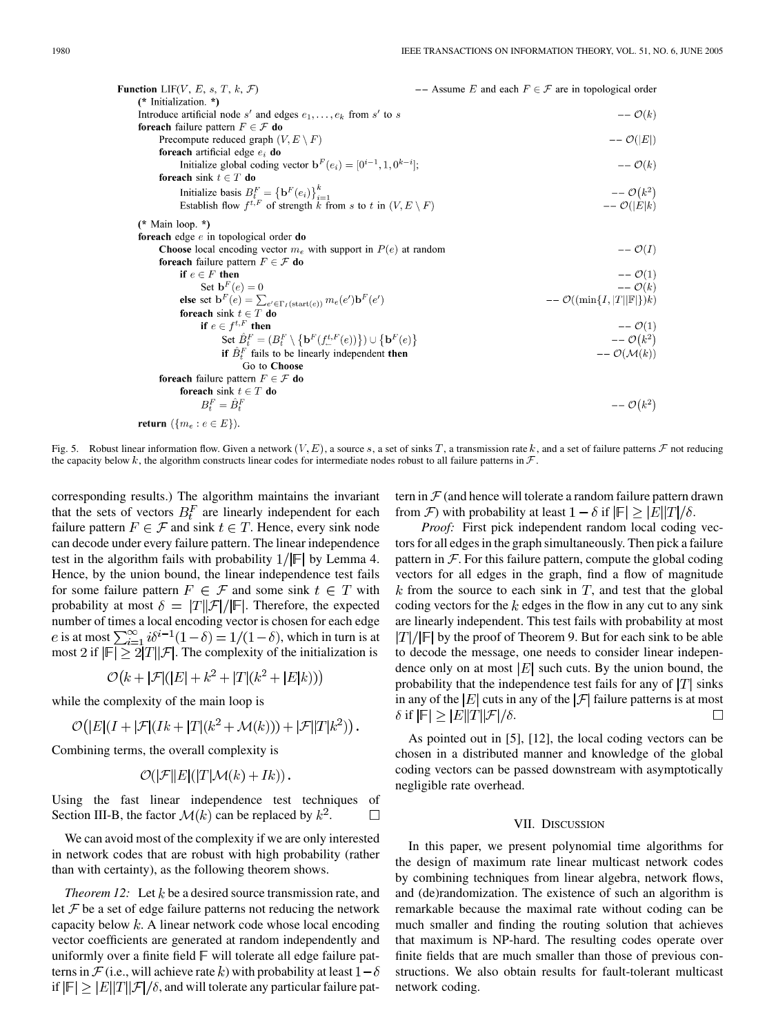| <b>Function</b> LIF(V, E, s, T, k, F)                                                               | $--$ Assume E and each $F \in \mathcal{F}$ are in topological order |
|-----------------------------------------------------------------------------------------------------|---------------------------------------------------------------------|
| (* Initialization. *)                                                                               |                                                                     |
| Introduce artificial node s' and edges $e_1, \ldots, e_k$ from s' to s                              | $--\mathcal{O}(k)$                                                  |
| foreach failure pattern $F \in \mathcal{F}$ do                                                      |                                                                     |
| Precompute reduced graph $(V, E \setminus F)$                                                       | $--\mathcal{O}( E )$                                                |
| foreach artificial edge $e_i$ do                                                                    |                                                                     |
| Initialize global coding vector $\mathbf{b}^F(e_i) = [0^{i-1}, 1, 0^{k-i}];$                        | $--\mathcal{O}(k)$                                                  |
| foreach sink $t \in T$ do                                                                           |                                                                     |
| Initialize basis $B_t^F = \{ \mathbf{b}^F(e_i) \}_{i=1}^k$                                          | $ \mathcal{O}(k^2)$                                                 |
| Establish flow $f^{t,F}$ of strength k from s to t in $(V, E \setminus F)$                          | $--\mathcal{O}( E k)$                                               |
| (* Main loop. *)                                                                                    |                                                                     |
| foreach edge $e$ in topological order do                                                            |                                                                     |
| <b>Choose</b> local encoding vector $m_e$ with support in $P(e)$ at random                          | $--\mathcal{O}(I)$                                                  |
| <b>foreach</b> failure pattern $F \in \mathcal{F}$ <b>do</b>                                        |                                                                     |
| if $e \in F$ then                                                                                   | $- O(1)$                                                            |
| Set $\mathbf{b}^F(e) = 0$                                                                           | $--\mathcal{O}(k)$                                                  |
| else set $\mathbf{b}^F(e) = \sum_{e' \in \Gamma} \sum_{(start(e))} m_e(e') \mathbf{b}^F(e')$        | $--\mathcal{O}((\min\{I, T  \mathbb{F} \})k)$                       |
| foreach sink $t \in T$ do                                                                           |                                                                     |
| if $e \in f^{t,F}$ then                                                                             | $- {\cal O}(1)$                                                     |
| Set $\hat{B}_t^F = (B_t^F \setminus {\{\mathbf{b}^F(f_{-}^{t,F}(e))\}}) \cup {\{\mathbf{b}^F(e)\}}$ | $--\mathcal{O}(k^2)$                                                |
| if $B_t^F$ fails to be linearly independent then                                                    | $--\mathcal{O}(\mathcal{M}(k))$                                     |
| Go to Choose                                                                                        |                                                                     |
| <b>foreach</b> failure pattern $F \in \mathcal{F}$ <b>do</b>                                        |                                                                     |
| foreach sink $t \in T$ do                                                                           |                                                                     |
| $B_t^F = \hat{B}_t^F$                                                                               | $--\mathcal{O}(k^2)$                                                |
| return $(\{m_e : e \in E\})$ .                                                                      |                                                                     |

Fig. 5. Robust linear information flow. Given a network  $(V, E)$ , a source s, a set of sinks T, a transmission rate k, and a set of failure patterns F not reducing the capacity below k, the algorithm constructs linear codes for intermediate nodes robust to all failure patterns in  $\mathcal F$ .

corresponding results.) The algorithm maintains the invariant that the sets of vectors  $B_t^F$  are linearly independent for each failure pattern  $F \in \mathcal{F}$  and sink  $t \in T$ . Hence, every sink node can decode under every failure pattern. The linear independence test in the algorithm fails with probability  $1/|F|$  by Lemma 4. Hence, by the union bound, the linear independence test fails for some failure pattern  $F \in \mathcal{F}$  and some sink  $t \in T$  with probability at most  $\delta = |T||\mathcal{F}|/|\mathbb{F}|$ . Therefore, the expected number of times a local encoding vector is chosen for each edge e is at most  $\sum_{i=1}^{\infty} i \delta^{i-1} (1-\delta) = 1/(1-\delta)$ , which in turn is at most 2 if  $|\mathbb{F}| \ge 2|T||\mathcal{F}|$ . The complexity of the initialization is

$$
\mathcal{O}(k + |\mathcal{F}|(|E| + k^2 + |T|(k^2 + |E|k)))
$$

while the complexity of the main loop is

$$
\mathcal{O}(|E|(I+|\mathcal{F}|(Ik+|T|(k^2+\mathcal{M}(k))) + |\mathcal{F}||T|k^2)\big).
$$

Combining terms, the overall complexity is

$$
\mathcal{O}(|\mathcal{F}||E|(|T|\mathcal{M}(k)+Ik)).
$$

Using the fast linear independence test techniques of Section III-B, the factor  $\mathcal{M}(k)$  can be replaced by  $k^2$ .  $\Box$ 

We can avoid most of the complexity if we are only interested in network codes that are robust with high probability (rather than with certainty), as the following theorem shows.

*Theorem 12:* Let  $k$  be a desired source transmission rate, and let  $\mathcal F$  be a set of edge failure patterns not reducing the network capacity below  $k$ . A linear network code whose local encoding vector coefficients are generated at random independently and uniformly over a finite field  $\mathbb F$  will tolerate all edge failure patterns in  $\mathcal F$  (i.e., will achieve rate k) with probability at least  $1-\delta$ if  $|\mathbb{F}| > |E||T||\mathcal{F}|/\delta$ , and will tolerate any particular failure pattern in  $\mathcal F$  (and hence will tolerate a random failure pattern drawn from  $\mathcal F$ ) with probability at least  $1 - \delta$  if  $|\mathbb F| > |E||T|/\delta$ .

*Proof:* First pick independent random local coding vectors for all edges in the graph simultaneously. Then pick a failure pattern in  $\mathcal F$ . For this failure pattern, compute the global coding vectors for all edges in the graph, find a flow of magnitude  $k$  from the source to each sink in  $T$ , and test that the global coding vectors for the  $k$  edges in the flow in any cut to any sink are linearly independent. This test fails with probability at most  $|T|/|F|$  by the proof of Theorem 9. But for each sink to be able to decode the message, one needs to consider linear independence only on at most  $|E|$  such cuts. By the union bound, the probability that the independence test fails for any of  $|T|$  sinks in any of the  $|E|$  cuts in any of the  $|\mathcal{F}|$  failure patterns is at most  $\delta$  if  $|F| \geq |E||T||\mathcal{F}|/\delta$ .  $\Box$ 

As pointed out in [\[5](#page-8-0)], [[12\]](#page-8-0), the local coding vectors can be chosen in a distributed manner and knowledge of the global coding vectors can be passed downstream with asymptotically negligible rate overhead.

#### VII. DISCUSSION

In this paper, we present polynomial time algorithms for the design of maximum rate linear multicast network codes by combining techniques from linear algebra, network flows, and (de)randomization. The existence of such an algorithm is remarkable because the maximal rate without coding can be much smaller and finding the routing solution that achieves that maximum is NP-hard. The resulting codes operate over finite fields that are much smaller than those of previous constructions. We also obtain results for fault-tolerant multicast network coding.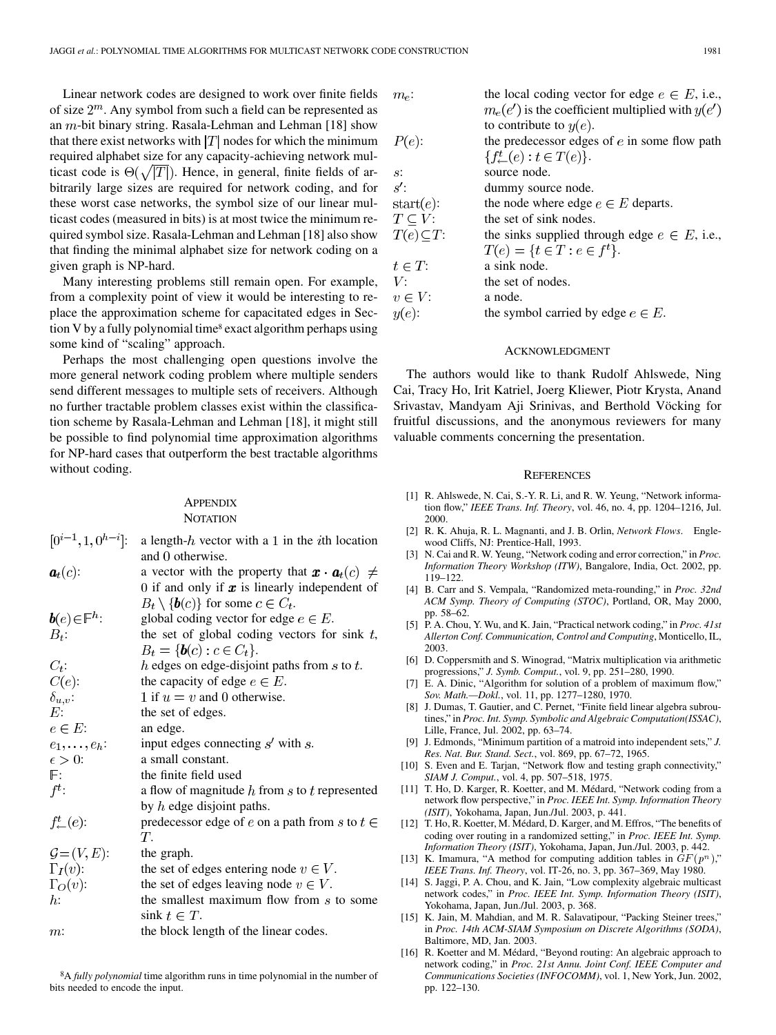<span id="page-8-0"></span>Linear network codes are designed to work over finite fields of size  $2^m$ . Any symbol from such a field can be represented as an  $m$ -bit binary string. Rasala-Lehman and Lehman [\[18](#page-9-0)] show that there exist networks with  $|T|$  nodes for which the minimum required alphabet size for any capacity-achieving network multicast code is  $\Theta(\sqrt{|T|})$ . Hence, in general, finite fields of arbitrarily large sizes are required for network coding, and for these worst case networks, the symbol size of our linear multicast codes (measured in bits) is at most twice the minimum required symbol size. Rasala-Lehman and Lehman [\[18](#page-9-0)] also show that finding the minimal alphabet size for network coding on a given graph is NP-hard.

Many interesting problems still remain open. For example, from a complexity point of view it would be interesting to replace the approximation scheme for capacitated edges in Section V by a fully polynomial time<sup>8</sup> exact algorithm perhaps using some kind of "scaling" approach.

Perhaps the most challenging open questions involve the more general network coding problem where multiple senders send different messages to multiple sets of receivers. Although no further tractable problem classes exist within the classification scheme by Rasala-Lehman and Lehman [[18\]](#page-9-0), it might still be possible to find polynomial time approximation algorithms for NP-hard cases that outperform the best tractable algorithms without coding.

## **APPENDIX NOTATION**

| $[0^{i-1}, 1, 0^{h-i}].$               | a length- $h$ vector with a 1 in the <i>i</i> th location               |
|----------------------------------------|-------------------------------------------------------------------------|
|                                        | and 0 otherwise.                                                        |
| $a_t(c)$ :                             | a vector with the property that $\mathbf{x} \cdot \mathbf{a}_t(c) \neq$ |
|                                        | 0 if and only if $x$ is linearly independent of                         |
|                                        | $B_t \setminus \{b(c)\}\$ for some $c \in C_t$ .                        |
| $\boldsymbol{b}(e) \in \mathbb{F}^h$ : | global coding vector for edge $e \in E$ .                               |
| $B_t$ :                                | the set of global coding vectors for sink $t$ ,                         |
|                                        | $B_t = \{b(c) : c \in C_t\}.$                                           |
| $C_t$ :                                | $h$ edges on edge-disjoint paths from $s$ to $t$ .                      |
| $C(e)$ :                               | the capacity of edge $e \in E$ .                                        |
| $\delta_{u,v}$ :                       | 1 if $u = v$ and 0 otherwise.                                           |
| E:                                     | the set of edges.                                                       |
| $e \in E$ :                            | an edge.                                                                |
| $e_1,\ldots,e_h$ :                     | input edges connecting $s'$ with $s$ .                                  |
| $\epsilon > 0$ :                       | a small constant.                                                       |
| $\mathbb{F}$ :                         | the finite field used                                                   |
| $f^t$ :                                | a flow of magnitude h from s to t represented                           |
|                                        | by $h$ edge disjoint paths.                                             |
| $f^t_{\leftarrow}(e)$ :                | predecessor edge of e on a path from s to $t \in$                       |
|                                        | $T_{\cdot}$                                                             |
| $\mathcal{G} = (V, E)$ :               | the graph.                                                              |
| $\Gamma_I(v)$ :                        | the set of edges entering node $v \in V$ .                              |
| $\Gamma_O(v)$ :                        | the set of edges leaving node $v \in V$ .                               |
| $h$ :                                  | the smallest maximum flow from s to some<br>sink $t \in T$ .            |
| m:                                     | the block length of the linear codes                                    |

8A *fully polynomial* time algorithm runs in time polynomial in the number of bits needed to encode the input.

| $m_e$ :              | the local coding vector for edge $e \in E$ , i.e.,   |
|----------------------|------------------------------------------------------|
|                      | $m_e(e')$ is the coefficient multiplied with $y(e')$ |
|                      | to contribute to $y(e)$ .                            |
| $P(e)$ :             | the predecessor edges of $e$ in some flow path       |
|                      | $\{f^t_{\leftarrow}(e): t \in T(e)\}.$               |
| s:                   | source node.                                         |
| s'                   | dummy source node.                                   |
| $start(e)$ :         | the node where edge $e \in E$ departs.               |
| $T \subseteq V$ :    | the set of sink nodes.                               |
| $T(e) \subseteq T$ : | the sinks supplied through edge $e \in E$ , i.e.,    |
|                      | $T(e) = \{t \in T : e \in f^t\}.$                    |
| $t \in T$ :          | a sink node.                                         |
| V:                   | the set of nodes.                                    |
| $v \in V$ :          | a node.                                              |
| $y(e)$ :             | the symbol carried by edge $e \in E$ .               |
|                      |                                                      |

#### ACKNOWLEDGMENT

The authors would like to thank Rudolf Ahlswede, Ning Cai, Tracy Ho, Irit Katriel, Joerg Kliewer, Piotr Krysta, Anand Srivastav, Mandyam Aji Srinivas, and Berthold Vöcking for fruitful discussions, and the anonymous reviewers for many valuable comments concerning the presentation.

#### **REFERENCES**

- [1] R. Ahlswede, N. Cai, S.-Y. R. Li, and R. W. Yeung, "Network information flow," *IEEE Trans. Inf. Theory*, vol. 46, no. 4, pp. 1204–1216, Jul. 2000.
- [2] R. K. Ahuja, R. L. Magnanti, and J. B. Orlin, *Network Flows*. Englewood Cliffs, NJ: Prentice-Hall, 1993.
- [3] N. Cai and R. W. Yeung, "Network coding and error correction," in *Proc. Information Theory Workshop (ITW)*, Bangalore, India, Oct. 2002, pp. 119–122.
- [4] B. Carr and S. Vempala, "Randomized meta-rounding," in *Proc. 32nd ACM Symp. Theory of Computing (STOC)*, Portland, OR, May 2000, pp. 58–62.
- [5] P. A. Chou, Y. Wu, and K. Jain, "Practical network coding," in *Proc. 41st Allerton Conf. Communication, Control and Computing*, Monticello, IL, 2003.
- [6] D. Coppersmith and S. Winograd, "Matrix multiplication via arithmetic progressions," *J. Symb. Comput.*, vol. 9, pp. 251–280, 1990.
- [7] E. A. Dinic, "Algorithm for solution of a problem of maximum flow," *Sov. Math.—Dokl.*, vol. 11, pp. 1277–1280, 1970.
- [8] J. Dumas, T. Gautier, and C. Pernet, "Finite field linear algebra subroutines," in *Proc. Int. Symp. Symbolic and Algebraic Computation(ISSAC)*, Lille, France, Jul. 2002, pp. 63–74.
- [9] J. Edmonds, "Minimum partition of a matroid into independent sets," *J. Res. Nat. Bur. Stand. Sect.*, vol. 869, pp. 67–72, 1965.
- [10] S. Even and E. Tarjan, "Network flow and testing graph connectivity," *SIAM J. Comput.*, vol. 4, pp. 507–518, 1975.
- [11] T. Ho, D. Karger, R. Koetter, and M. Médard, "Network coding from a network flow perspective," in *Proc. IEEE Int. Symp. Information Theory (ISIT)*, Yokohama, Japan, Jun./Jul. 2003, p. 441.
- [12] T. Ho, R. Koetter, M. Médard, D. Karger, and M. Effros, "The benefits of coding over routing in a randomized setting," in *Proc. IEEE Int. Symp. Information Theory (ISIT)*, Yokohama, Japan, Jun./Jul. 2003, p. 442.
- [13] K. Imamura, "A method for computing addition tables in  $GF(p^n)$ ," *IEEE Trans. Inf. Theory*, vol. IT-26, no. 3, pp. 367–369, May 1980.
- [14] S. Jaggi, P. A. Chou, and K. Jain, "Low complexity algebraic multicast network codes," in *Proc. IEEE Int. Symp. Information Theory (ISIT)*, Yokohama, Japan, Jun./Jul. 2003, p. 368.
- [15] K. Jain, M. Mahdian, and M. R. Salavatipour, "Packing Steiner trees," in *Proc. 14th ACM-SIAM Symposium on Discrete Algorithms (SODA)*, Baltimore, MD, Jan. 2003.
- [16] R. Koetter and M. Médard, "Beyond routing: An algebraic approach to network coding," in *Proc. 21st Annu. Joint Conf. IEEE Computer and Communications Societies (INFOCOMM)*, vol. 1, New York, Jun. 2002, pp. 122–130.